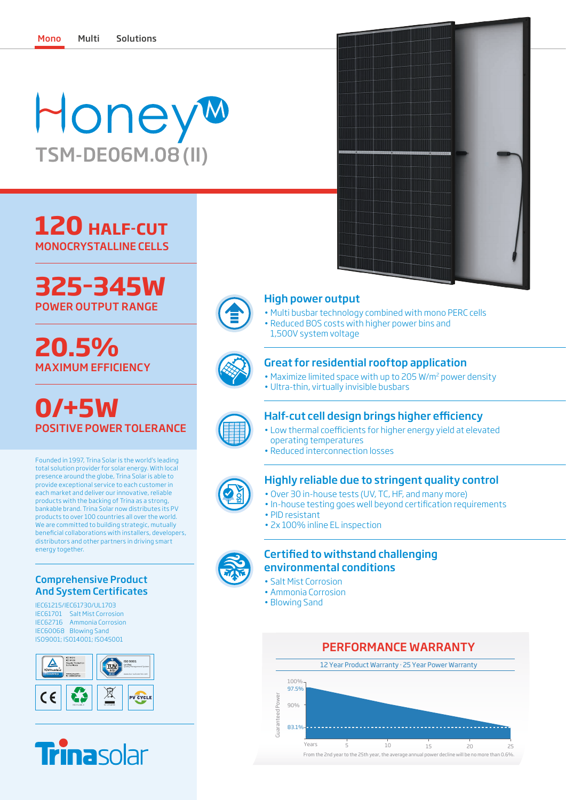# Honey TSM-DE06M.08(II)

## **120 HALF-CUT** MONOCRYSTALLINE CELLS



# **20.5%** MAXIMUM EFFICIENCY

**0/+5W** POSITIVE POWER TOLERANCE

Founded in 1997, Trina Solar is the world's leading total solution provider for solar energy. With local presence around the globe, Trina Solar is able to provide exceptional service to each customer in each market and deliver our innovative, reliable products with the backing of Trina as a strong, bankable brand. Trina Solar now distributes its PV products to over 100 countries all over the world. We are committed to building strategic, mutually beneficial collaborations with installers, developers, distributors and other partners in driving smart energy together.

#### Comprehensive Product And System Certificates

IEC61215/IEC61730/UL1703 IEC61701 Salt Mist Corrosion IEC62716 Ammonia Corrosion IEC60068 Blowing Sand ISO9001; ISO14001; ISO45001





• Reduced BOS costs with higher power bins and

Great for residential rooftop application • Maximize limited space with up to 205 W/m2 power density

• Multi busbar technology combined with mono PERC cells

• Ultra-thin, virtually invisible busbars

High power output

1,500V system voltage

### Half-cut cell design brings higher efficiency

- Low thermal coefficients for higher energy yield at elevated operating temperatures
- Reduced interconnection losses

### Highly reliable due to stringent quality control

- Over 30 in-house tests (UV, TC, HF, and many more)
- In-house testing goes well beyond certification requirements
- PID resistant
- 2x 100% inline EL inspection

### Certified to withstand challenging environmental conditions

- Salt Mist Corrosion
- Ammonia Corrosion
- Blowing Sand